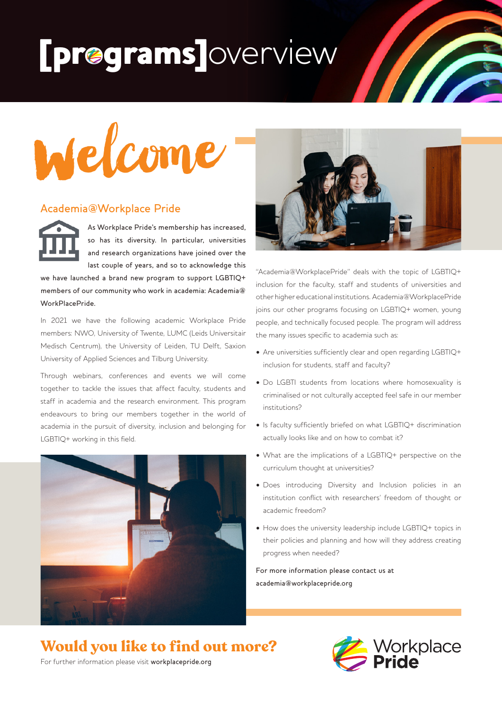# [programs]overview



#### Academia@Workplace Pride

As Workplace Pride's membership has increased, so has its diversity. In particular, universities and research organizations have joined over the last couple of years, and so to acknowledge this

we have launched a brand new program to support LGBTIQ+ members of our community who work in academia: Academia@ WorkPlacePride.

In 2021 we have the following academic Workplace Pride members: NWO, University of Twente, LUMC (Leids Universitair Medisch Centrum), the University of Leiden, TU Delft, Saxion University of Applied Sciences and Tilburg University.

Through webinars, conferences and events we will come together to tackle the issues that affect faculty, students and staff in academia and the research environment. This program endeavours to bring our members together in the world of academia in the pursuit of diversity, inclusion and belonging for LGBTIQ+ working in this field.





**M** 

"Academia@WorkplacePride" deals with the topic of LGBTIQ+ inclusion for the faculty, staff and students of universities and other higher educational institutions. Academia@WorkplacePride joins our other programs focusing on LGBTIQ+ women, young people, and technically focused people. The program will address the many issues specific to academia such as:

- Are universities sufficiently clear and open regarding LGBTIQ+ inclusion for students, staff and faculty?
- Do LGBTI students from locations where homosexuality is criminalised or not culturally accepted feel safe in our member institutions?
- Is faculty sufficiently briefed on what LGBTIQ+ discrimination actually looks like and on how to combat it?
- What are the implications of a LGBTIQ+ perspective on the curriculum thought at universities?
- Does introducing Diversity and Inclusion policies in an institution conflict with researchers' freedom of thought or academic freedom?
- How does the university leadership include LGBTIQ+ topics in their policies and planning and how will they address creating progress when needed?

For more information please contact us at academia@workplacepride.org

## **Would you like to find out more?**



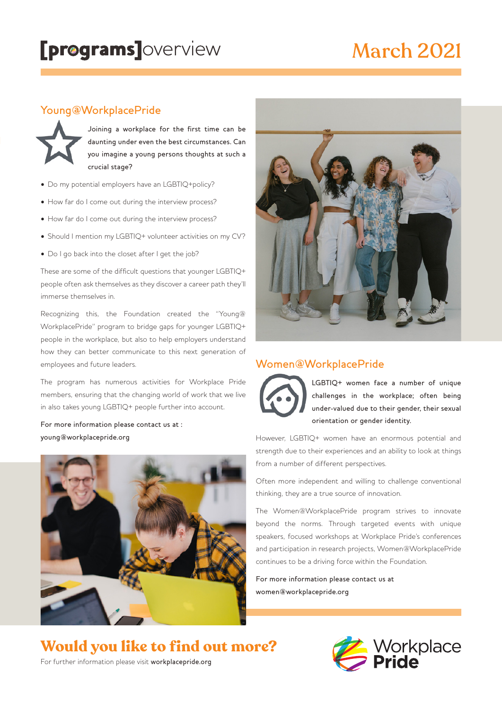# March 2021

### Young@WorkplacePride



Joining a workplace for the first time can be daunting under even the best circumstances. Can you imagine a young persons thoughts at such a crucial stage?

- Do my potential employers have an LGBTIQ+policy?
- How far do I come out during the interview process?
- How far do I come out during the interview process?
- Should I mention my LGBTIQ+ volunteer activities on my CV?
- Do I go back into the closet after I get the job?

These are some of the difficult questions that younger LGBTIQ+ people often ask themselves as they discover a career path they'll immerse themselves in.

Recognizing this, the Foundation created the "Young@ WorkplacePride" program to bridge gaps for younger LGBTIQ+ people in the workplace, but also to help employers understand how they can better communicate to this next generation of employees and future leaders.

The program has numerous activities for Workplace Pride members, ensuring that the changing world of work that we live in also takes young LGBTIQ+ people further into account.

For more information please contact us at : young@workplacepride.org





## Women@WorkplacePride



LGBTIQ+ women face a number of unique challenges in the workplace; often being under-valued due to their gender, their sexual orientation or gender identity.

However, LGBTIQ+ women have an enormous potential and strength due to their experiences and an ability to look at things from a number of different perspectives.

Often more independent and willing to challenge conventional thinking, they are a true source of innovation.

The Women@WorkplacePride program strives to innovate beyond the norms. Through targeted events with unique speakers, focused workshops at Workplace Pride's conferences and participation in research projects, Women@WorkplacePride continues to be a driving force within the Foundation.

For more information please contact us at women@workplacepride.org

## **Would you like to find out more?**



For further information please visit workplacepride.org